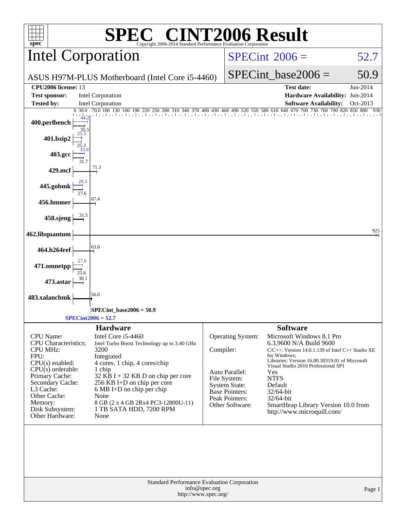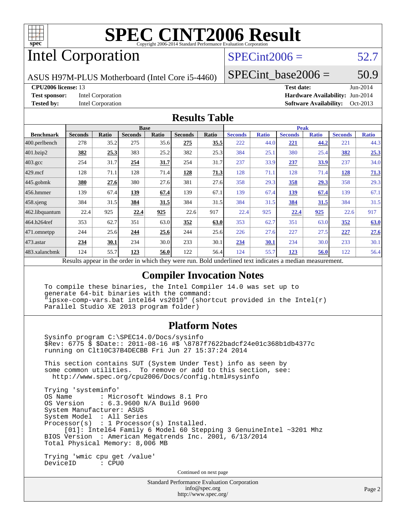

## Intel Corporation

### $SPECint2006 = 52.7$  $SPECint2006 = 52.7$

ASUS H97M-PLUS Motherboard (Intel Core i5-4460)

SPECint base2006 =  $50.9$ 

### **[CPU2006 license:](http://www.spec.org/auto/cpu2006/Docs/result-fields.html#CPU2006license)** 13 **[Test date:](http://www.spec.org/auto/cpu2006/Docs/result-fields.html#Testdate)** Jun-2014

**[Test sponsor:](http://www.spec.org/auto/cpu2006/Docs/result-fields.html#Testsponsor)** Intel Corporation **[Hardware Availability:](http://www.spec.org/auto/cpu2006/Docs/result-fields.html#HardwareAvailability)** Jun-2014 **[Tested by:](http://www.spec.org/auto/cpu2006/Docs/result-fields.html#Testedby)** Intel Corporation **[Software Availability:](http://www.spec.org/auto/cpu2006/Docs/result-fields.html#SoftwareAvailability)** Oct-2013

### **[Results Table](http://www.spec.org/auto/cpu2006/Docs/result-fields.html#ResultsTable)**

|                                                                                                          | <b>Base</b>    |       |                |       | <b>Peak</b>    |       |                |              |                |              |                |              |
|----------------------------------------------------------------------------------------------------------|----------------|-------|----------------|-------|----------------|-------|----------------|--------------|----------------|--------------|----------------|--------------|
| <b>Benchmark</b>                                                                                         | <b>Seconds</b> | Ratio | <b>Seconds</b> | Ratio | <b>Seconds</b> | Ratio | <b>Seconds</b> | <b>Ratio</b> | <b>Seconds</b> | <b>Ratio</b> | <b>Seconds</b> | <b>Ratio</b> |
| 400.perlbench                                                                                            | 278            | 35.2  | 275            | 35.6  | 275            | 35.5  | 222            | 44.0         | 221            | 44.2         | 221            | 44.3         |
| 401.bzip2                                                                                                | 382            | 25.3  | 383            | 25.2  | 382            | 25.3  | 384            | 25.1         | 380            | 25.4         | 382            | 25.3         |
| $403.\mathrm{gcc}$                                                                                       | 254            | 31.7  | 254            | 31.7  | 254            | 31.7  | 237            | 33.9         | 237            | 33.9         | 237            | 34.0         |
| $429$ .mcf                                                                                               | 128            | 71.1  | 128            | 71.4  | 128            | 71.3  | 128            | 71.1         | 128            | 71.4         | 128            | 71.3         |
| $445$ .gobmk                                                                                             | 380            | 27.6  | 380            | 27.6  | 381            | 27.6  | 358            | 29.3         | 358            | 29.3         | 358            | 29.3         |
| 456.hmmer                                                                                                | 139            | 67.4  | 139            | 67.4  | 139            | 67.1  | 139            | 67.4         | 139            | 67.4         | 139            | 67.1         |
| $458$ .sjeng                                                                                             | 384            | 31.5  | 384            | 31.5  | 384            | 31.5  | 384            | 31.5         | 384            | 31.5         | 384            | 31.5         |
| 462.libquantum                                                                                           | 22.4           | 925   | 22.4           | 925   | 22.6           | 917   | 22.4           | 925          | 22.4           | 925          | 22.6           | 917          |
| 464.h264ref                                                                                              | 353            | 62.7  | 351            | 63.0  | 352            | 63.0  | 353            | 62.7         | 351            | 63.0         | 352            | 63.0         |
| 471.omnetpp                                                                                              | 244            | 25.6  | 244            | 25.6  | 244            | 25.6  | 226            | 27.6         | 227            | 27.5         | 227            | 27.6         |
| $473.$ astar                                                                                             | 234            | 30.1  | 234            | 30.0  | 233            | 30.1  | 234            | 30.1         | 234            | 30.0         | 233            | 30.1         |
| 483.xalancbmk                                                                                            | 124            | 55.7  | 123            | 56.0  | 122            | 56.4  | 124            | 55.7         | 123            | 56.0         | 122            | 56.4         |
| Results appear in the order in which they were run. Bold underlined text indicates a median measurement. |                |       |                |       |                |       |                |              |                |              |                |              |

**[Compiler Invocation Notes](http://www.spec.org/auto/cpu2006/Docs/result-fields.html#CompilerInvocationNotes)**

 To compile these binaries, the Intel Compiler 14.0 was set up to generate 64-bit binaries with the command: "ipsxe-comp-vars.bat intel64 vs2010" (shortcut provided in the Intel(r) Parallel Studio XE 2013 program folder)

### **[Platform Notes](http://www.spec.org/auto/cpu2006/Docs/result-fields.html#PlatformNotes)**

 Sysinfo program C:\SPEC14.0/Docs/sysinfo \$Rev: 6775 \$ \$Date:: 2011-08-16 #\$ \8787f7622badcf24e01c368b1db4377c running on Clt10C37B4DECBB Fri Jun 27 15:37:24 2014 This section contains SUT (System Under Test) info as seen by

 some common utilities. To remove or add to this section, see: <http://www.spec.org/cpu2006/Docs/config.html#sysinfo>

 Trying 'systeminfo' : Microsoft Windows 8.1 Pro OS Version : 6.3.9600 N/A Build 9600 System Manufacturer: ASUS System Model : All Series Processor(s) : 1 Processor(s) Installed. [01]: Intel64 Family 6 Model 60 Stepping 3 GenuineIntel ~3201 Mhz BIOS Version : American Megatrends Inc. 2001, 6/13/2014 Total Physical Memory: 8,006 MB Trying 'wmic cpu get /value'

DeviceID : CPU0

Continued on next page

Standard Performance Evaluation Corporation [info@spec.org](mailto:info@spec.org) <http://www.spec.org/>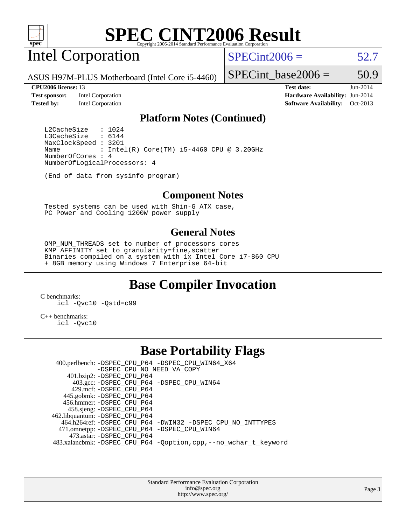

Intel Corporation

 $SPECint2006 = 52.7$  $SPECint2006 = 52.7$ 

ASUS H97M-PLUS Motherboard (Intel Core i5-4460)

**[Test sponsor:](http://www.spec.org/auto/cpu2006/Docs/result-fields.html#Testsponsor)** Intel Corporation **[Hardware Availability:](http://www.spec.org/auto/cpu2006/Docs/result-fields.html#HardwareAvailability)** Jun-2014

SPECint base2006 =  $50.9$ **[CPU2006 license:](http://www.spec.org/auto/cpu2006/Docs/result-fields.html#CPU2006license)** 13 **[Test date:](http://www.spec.org/auto/cpu2006/Docs/result-fields.html#Testdate)** Jun-2014

**[Tested by:](http://www.spec.org/auto/cpu2006/Docs/result-fields.html#Testedby)** Intel Corporation **[Software Availability:](http://www.spec.org/auto/cpu2006/Docs/result-fields.html#SoftwareAvailability)** Oct-2013

### **[Platform Notes \(Continued\)](http://www.spec.org/auto/cpu2006/Docs/result-fields.html#PlatformNotes)**

L2CacheSize : 1024<br>L3CacheSize : 6144 L3CacheSize MaxClockSpeed : 3201 Name : Intel(R) Core(TM)  $i5-4460$  CPU @ 3.20GHz NumberOfCores : 4 NumberOfLogicalProcessors: 4

(End of data from sysinfo program)

### **[Component Notes](http://www.spec.org/auto/cpu2006/Docs/result-fields.html#ComponentNotes)**

 Tested systems can be used with Shin-G ATX case, PC Power and Cooling 1200W power supply

### **[General Notes](http://www.spec.org/auto/cpu2006/Docs/result-fields.html#GeneralNotes)**

 OMP\_NUM\_THREADS set to number of processors cores KMP\_AFFINITY set to granularity=fine,scatter Binaries compiled on a system with 1x Intel Core i7-860 CPU + 8GB memory using Windows 7 Enterprise 64-bit

### **[Base Compiler Invocation](http://www.spec.org/auto/cpu2006/Docs/result-fields.html#BaseCompilerInvocation)**

[C benchmarks](http://www.spec.org/auto/cpu2006/Docs/result-fields.html#Cbenchmarks): [icl -Qvc10](http://www.spec.org/cpu2006/results/res2014q3/cpu2006-20140725-30610.flags.html#user_CCbase_intel_icc_vc10_9607f3ecbcdf68042245f068e51b40c1) [-Qstd=c99](http://www.spec.org/cpu2006/results/res2014q3/cpu2006-20140725-30610.flags.html#user_CCbase_intel_compiler_c99_mode_1a3d110e3041b3ad4466830521bdad2a)

[C++ benchmarks:](http://www.spec.org/auto/cpu2006/Docs/result-fields.html#CXXbenchmarks) [icl -Qvc10](http://www.spec.org/cpu2006/results/res2014q3/cpu2006-20140725-30610.flags.html#user_CXXbase_intel_icc_vc10_9607f3ecbcdf68042245f068e51b40c1)

### **[Base Portability Flags](http://www.spec.org/auto/cpu2006/Docs/result-fields.html#BasePortabilityFlags)**

 400.perlbench: [-DSPEC\\_CPU\\_P64](http://www.spec.org/cpu2006/results/res2014q3/cpu2006-20140725-30610.flags.html#b400.perlbench_basePORTABILITY_DSPEC_CPU_P64) [-DSPEC\\_CPU\\_WIN64\\_X64](http://www.spec.org/cpu2006/results/res2014q3/cpu2006-20140725-30610.flags.html#b400.perlbench_baseCPORTABILITY_DSPEC_CPU_WIN64_X64) [-DSPEC\\_CPU\\_NO\\_NEED\\_VA\\_COPY](http://www.spec.org/cpu2006/results/res2014q3/cpu2006-20140725-30610.flags.html#b400.perlbench_baseCPORTABILITY_DSPEC_CPU_NO_NEED_VA_COPY) 401.bzip2: [-DSPEC\\_CPU\\_P64](http://www.spec.org/cpu2006/results/res2014q3/cpu2006-20140725-30610.flags.html#suite_basePORTABILITY401_bzip2_DSPEC_CPU_P64) 403.gcc: [-DSPEC\\_CPU\\_P64](http://www.spec.org/cpu2006/results/res2014q3/cpu2006-20140725-30610.flags.html#suite_basePORTABILITY403_gcc_DSPEC_CPU_P64) [-DSPEC\\_CPU\\_WIN64](http://www.spec.org/cpu2006/results/res2014q3/cpu2006-20140725-30610.flags.html#b403.gcc_baseCPORTABILITY_DSPEC_CPU_WIN64) 429.mcf: [-DSPEC\\_CPU\\_P64](http://www.spec.org/cpu2006/results/res2014q3/cpu2006-20140725-30610.flags.html#suite_basePORTABILITY429_mcf_DSPEC_CPU_P64) 445.gobmk: [-DSPEC\\_CPU\\_P64](http://www.spec.org/cpu2006/results/res2014q3/cpu2006-20140725-30610.flags.html#suite_basePORTABILITY445_gobmk_DSPEC_CPU_P64) 456.hmmer: [-DSPEC\\_CPU\\_P64](http://www.spec.org/cpu2006/results/res2014q3/cpu2006-20140725-30610.flags.html#suite_basePORTABILITY456_hmmer_DSPEC_CPU_P64) 458.sjeng: [-DSPEC\\_CPU\\_P64](http://www.spec.org/cpu2006/results/res2014q3/cpu2006-20140725-30610.flags.html#suite_basePORTABILITY458_sjeng_DSPEC_CPU_P64) 462.libquantum: [-DSPEC\\_CPU\\_P64](http://www.spec.org/cpu2006/results/res2014q3/cpu2006-20140725-30610.flags.html#suite_basePORTABILITY462_libquantum_DSPEC_CPU_P64) 464.h264ref: [-DSPEC\\_CPU\\_P64](http://www.spec.org/cpu2006/results/res2014q3/cpu2006-20140725-30610.flags.html#suite_basePORTABILITY464_h264ref_DSPEC_CPU_P64) [-DWIN32](http://www.spec.org/cpu2006/results/res2014q3/cpu2006-20140725-30610.flags.html#b464.h264ref_baseCPORTABILITY_DWIN32) [-DSPEC\\_CPU\\_NO\\_INTTYPES](http://www.spec.org/cpu2006/results/res2014q3/cpu2006-20140725-30610.flags.html#b464.h264ref_baseCPORTABILITY_DSPEC_CPU_NO_INTTYPES) 471.omnetpp: [-DSPEC\\_CPU\\_P64](http://www.spec.org/cpu2006/results/res2014q3/cpu2006-20140725-30610.flags.html#suite_basePORTABILITY471_omnetpp_DSPEC_CPU_P64) [-DSPEC\\_CPU\\_WIN64](http://www.spec.org/cpu2006/results/res2014q3/cpu2006-20140725-30610.flags.html#b471.omnetpp_baseCXXPORTABILITY_DSPEC_CPU_WIN64) 473.astar: [-DSPEC\\_CPU\\_P64](http://www.spec.org/cpu2006/results/res2014q3/cpu2006-20140725-30610.flags.html#suite_basePORTABILITY473_astar_DSPEC_CPU_P64) 483.xalancbmk: [-DSPEC\\_CPU\\_P64](http://www.spec.org/cpu2006/results/res2014q3/cpu2006-20140725-30610.flags.html#suite_basePORTABILITY483_xalancbmk_DSPEC_CPU_P64) [-Qoption,cpp,--no\\_wchar\\_t\\_keyword](http://www.spec.org/cpu2006/results/res2014q3/cpu2006-20140725-30610.flags.html#user_baseCXXPORTABILITY483_xalancbmk_f-no_wchar_t_keyword_ec0ad4495a16b4e858bfcb29d949d25d)

> Standard Performance Evaluation Corporation [info@spec.org](mailto:info@spec.org) <http://www.spec.org/>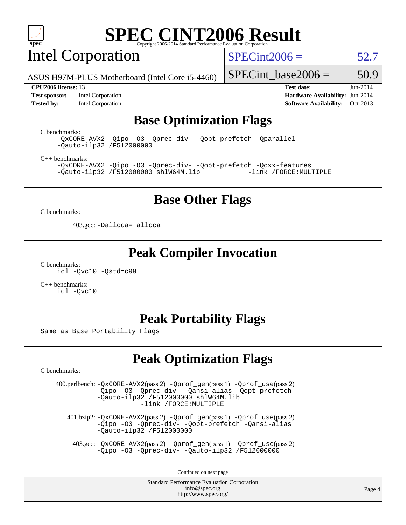

Intel Corporation

 $SPECint2006 = 52.7$  $SPECint2006 = 52.7$ 

ASUS H97M-PLUS Motherboard (Intel Core i5-4460)

### **[CPU2006 license:](http://www.spec.org/auto/cpu2006/Docs/result-fields.html#CPU2006license)** 13 **[Test date:](http://www.spec.org/auto/cpu2006/Docs/result-fields.html#Testdate)** Jun-2014

SPECint base2006 =  $50.9$ 

**[Test sponsor:](http://www.spec.org/auto/cpu2006/Docs/result-fields.html#Testsponsor)** Intel Corporation **[Hardware Availability:](http://www.spec.org/auto/cpu2006/Docs/result-fields.html#HardwareAvailability)** Jun-2014 **[Tested by:](http://www.spec.org/auto/cpu2006/Docs/result-fields.html#Testedby)** Intel Corporation **[Software Availability:](http://www.spec.org/auto/cpu2006/Docs/result-fields.html#SoftwareAvailability)** Oct-2013

## **[Base Optimization Flags](http://www.spec.org/auto/cpu2006/Docs/result-fields.html#BaseOptimizationFlags)**

[C benchmarks](http://www.spec.org/auto/cpu2006/Docs/result-fields.html#Cbenchmarks):

[-QxCORE-AVX2](http://www.spec.org/cpu2006/results/res2014q3/cpu2006-20140725-30610.flags.html#user_CCbase_f-QxAVX2_f98716b5f9e905f99c943c56f21bf430) [-Qipo](http://www.spec.org/cpu2006/results/res2014q3/cpu2006-20140725-30610.flags.html#user_CCbase_f-Qipo) [-O3](http://www.spec.org/cpu2006/results/res2014q3/cpu2006-20140725-30610.flags.html#user_CCbase_f-O3) [-Qprec-div-](http://www.spec.org/cpu2006/results/res2014q3/cpu2006-20140725-30610.flags.html#user_CCbase_f-Qprec-div-) [-Qopt-prefetch](http://www.spec.org/cpu2006/results/res2014q3/cpu2006-20140725-30610.flags.html#user_CCbase_f-Qprefetch_37c211608666b9dff9380561f602f0a8) [-Qparallel](http://www.spec.org/cpu2006/results/res2014q3/cpu2006-20140725-30610.flags.html#user_CCbase_f-Qparallel) [-Qauto-ilp32](http://www.spec.org/cpu2006/results/res2014q3/cpu2006-20140725-30610.flags.html#user_CCbase_f-Qauto-ilp32) [/F512000000](http://www.spec.org/cpu2006/results/res2014q3/cpu2006-20140725-30610.flags.html#user_CCbase_set_stack_space_98438a10eb60aa5f35f4c79d9b9b27b1)

[C++ benchmarks:](http://www.spec.org/auto/cpu2006/Docs/result-fields.html#CXXbenchmarks)

[-QxCORE-AVX2](http://www.spec.org/cpu2006/results/res2014q3/cpu2006-20140725-30610.flags.html#user_CXXbase_f-QxAVX2_f98716b5f9e905f99c943c56f21bf430) [-Qipo](http://www.spec.org/cpu2006/results/res2014q3/cpu2006-20140725-30610.flags.html#user_CXXbase_f-Qipo) [-O3](http://www.spec.org/cpu2006/results/res2014q3/cpu2006-20140725-30610.flags.html#user_CXXbase_f-O3) [-Qprec-div-](http://www.spec.org/cpu2006/results/res2014q3/cpu2006-20140725-30610.flags.html#user_CXXbase_f-Qprec-div-) [-Qopt-prefetch](http://www.spec.org/cpu2006/results/res2014q3/cpu2006-20140725-30610.flags.html#user_CXXbase_f-Qprefetch_37c211608666b9dff9380561f602f0a8) [-Qcxx-features](http://www.spec.org/cpu2006/results/res2014q3/cpu2006-20140725-30610.flags.html#user_CXXbase_f-Qcxx_features_dbf36c8a6dba956e22f1645e4dcd4d98)  $-Qauto-ilp32 /F512000000$  $-Qauto-ilp32 /F512000000$  $-Qauto-ilp32 /F512000000$  [shlW64M.lib](http://www.spec.org/cpu2006/results/res2014q3/cpu2006-20140725-30610.flags.html#user_CXXbase_SmartHeap64_c4f7f76711bdf8c0633a5c1edf6e5396)

### **[Base Other Flags](http://www.spec.org/auto/cpu2006/Docs/result-fields.html#BaseOtherFlags)**

[C benchmarks](http://www.spec.org/auto/cpu2006/Docs/result-fields.html#Cbenchmarks):

403.gcc: [-Dalloca=\\_alloca](http://www.spec.org/cpu2006/results/res2014q3/cpu2006-20140725-30610.flags.html#b403.gcc_baseEXTRA_CFLAGS_Dalloca_be3056838c12de2578596ca5467af7f3)

### **[Peak Compiler Invocation](http://www.spec.org/auto/cpu2006/Docs/result-fields.html#PeakCompilerInvocation)**

[C benchmarks](http://www.spec.org/auto/cpu2006/Docs/result-fields.html#Cbenchmarks): [icl -Qvc10](http://www.spec.org/cpu2006/results/res2014q3/cpu2006-20140725-30610.flags.html#user_CCpeak_intel_icc_vc10_9607f3ecbcdf68042245f068e51b40c1) [-Qstd=c99](http://www.spec.org/cpu2006/results/res2014q3/cpu2006-20140725-30610.flags.html#user_CCpeak_intel_compiler_c99_mode_1a3d110e3041b3ad4466830521bdad2a)

[C++ benchmarks:](http://www.spec.org/auto/cpu2006/Docs/result-fields.html#CXXbenchmarks) [icl -Qvc10](http://www.spec.org/cpu2006/results/res2014q3/cpu2006-20140725-30610.flags.html#user_CXXpeak_intel_icc_vc10_9607f3ecbcdf68042245f068e51b40c1)

## **[Peak Portability Flags](http://www.spec.org/auto/cpu2006/Docs/result-fields.html#PeakPortabilityFlags)**

Same as Base Portability Flags

## **[Peak Optimization Flags](http://www.spec.org/auto/cpu2006/Docs/result-fields.html#PeakOptimizationFlags)**

[C benchmarks](http://www.spec.org/auto/cpu2006/Docs/result-fields.html#Cbenchmarks):

 400.perlbench: [-QxCORE-AVX2](http://www.spec.org/cpu2006/results/res2014q3/cpu2006-20140725-30610.flags.html#user_peakPASS2_CFLAGSPASS2_LDFLAGS400_perlbench_f-QxAVX2_f98716b5f9e905f99c943c56f21bf430)(pass 2) [-Qprof\\_gen](http://www.spec.org/cpu2006/results/res2014q3/cpu2006-20140725-30610.flags.html#user_peakPASS1_CFLAGSPASS1_LDFLAGS400_perlbench_Qprof_gen)(pass 1) [-Qprof\\_use](http://www.spec.org/cpu2006/results/res2014q3/cpu2006-20140725-30610.flags.html#user_peakPASS2_CFLAGSPASS2_LDFLAGS400_perlbench_Qprof_use)(pass 2) [-Qipo](http://www.spec.org/cpu2006/results/res2014q3/cpu2006-20140725-30610.flags.html#user_peakOPTIMIZE400_perlbench_f-Qipo) [-O3](http://www.spec.org/cpu2006/results/res2014q3/cpu2006-20140725-30610.flags.html#user_peakOPTIMIZE400_perlbench_f-O3) [-Qprec-div-](http://www.spec.org/cpu2006/results/res2014q3/cpu2006-20140725-30610.flags.html#user_peakOPTIMIZE400_perlbench_f-Qprec-div-) [-Qansi-alias](http://www.spec.org/cpu2006/results/res2014q3/cpu2006-20140725-30610.flags.html#user_peakOPTIMIZE400_perlbench_f-Qansi-alias) [-Qopt-prefetch](http://www.spec.org/cpu2006/results/res2014q3/cpu2006-20140725-30610.flags.html#user_peakOPTIMIZE400_perlbench_f-Qprefetch_37c211608666b9dff9380561f602f0a8) [-Qauto-ilp32](http://www.spec.org/cpu2006/results/res2014q3/cpu2006-20140725-30610.flags.html#user_peakCOPTIMIZE400_perlbench_f-Qauto-ilp32) [/F512000000](http://www.spec.org/cpu2006/results/res2014q3/cpu2006-20140725-30610.flags.html#user_peakEXTRA_LDFLAGS400_perlbench_set_stack_space_98438a10eb60aa5f35f4c79d9b9b27b1) [shlW64M.lib](http://www.spec.org/cpu2006/results/res2014q3/cpu2006-20140725-30610.flags.html#user_peakEXTRA_LIBS400_perlbench_SmartHeap64_c4f7f76711bdf8c0633a5c1edf6e5396)  [-link /FORCE:MULTIPLE](http://www.spec.org/cpu2006/results/res2014q3/cpu2006-20140725-30610.flags.html#user_peakLDOUT400_perlbench_link_force_multiple2_070fe330869edf77077b841074b8b0b6)

 401.bzip2: [-QxCORE-AVX2](http://www.spec.org/cpu2006/results/res2014q3/cpu2006-20140725-30610.flags.html#user_peakPASS2_CFLAGSPASS2_LDFLAGS401_bzip2_f-QxAVX2_f98716b5f9e905f99c943c56f21bf430)(pass 2) [-Qprof\\_gen](http://www.spec.org/cpu2006/results/res2014q3/cpu2006-20140725-30610.flags.html#user_peakPASS1_CFLAGSPASS1_LDFLAGS401_bzip2_Qprof_gen)(pass 1) [-Qprof\\_use](http://www.spec.org/cpu2006/results/res2014q3/cpu2006-20140725-30610.flags.html#user_peakPASS2_CFLAGSPASS2_LDFLAGS401_bzip2_Qprof_use)(pass 2) [-Qipo](http://www.spec.org/cpu2006/results/res2014q3/cpu2006-20140725-30610.flags.html#user_peakOPTIMIZE401_bzip2_f-Qipo) [-O3](http://www.spec.org/cpu2006/results/res2014q3/cpu2006-20140725-30610.flags.html#user_peakOPTIMIZE401_bzip2_f-O3) [-Qprec-div-](http://www.spec.org/cpu2006/results/res2014q3/cpu2006-20140725-30610.flags.html#user_peakOPTIMIZE401_bzip2_f-Qprec-div-) [-Qopt-prefetch](http://www.spec.org/cpu2006/results/res2014q3/cpu2006-20140725-30610.flags.html#user_peakOPTIMIZE401_bzip2_f-Qprefetch_37c211608666b9dff9380561f602f0a8) [-Qansi-alias](http://www.spec.org/cpu2006/results/res2014q3/cpu2006-20140725-30610.flags.html#user_peakOPTIMIZE401_bzip2_f-Qansi-alias) [-Qauto-ilp32](http://www.spec.org/cpu2006/results/res2014q3/cpu2006-20140725-30610.flags.html#user_peakCOPTIMIZE401_bzip2_f-Qauto-ilp32) [/F512000000](http://www.spec.org/cpu2006/results/res2014q3/cpu2006-20140725-30610.flags.html#user_peakEXTRA_LDFLAGS401_bzip2_set_stack_space_98438a10eb60aa5f35f4c79d9b9b27b1)

 403.gcc: [-QxCORE-AVX2](http://www.spec.org/cpu2006/results/res2014q3/cpu2006-20140725-30610.flags.html#user_peakPASS2_CFLAGSPASS2_LDFLAGS403_gcc_f-QxAVX2_f98716b5f9e905f99c943c56f21bf430)(pass 2) [-Qprof\\_gen](http://www.spec.org/cpu2006/results/res2014q3/cpu2006-20140725-30610.flags.html#user_peakPASS1_CFLAGSPASS1_LDFLAGS403_gcc_Qprof_gen)(pass 1) [-Qprof\\_use](http://www.spec.org/cpu2006/results/res2014q3/cpu2006-20140725-30610.flags.html#user_peakPASS2_CFLAGSPASS2_LDFLAGS403_gcc_Qprof_use)(pass 2) [-Qipo](http://www.spec.org/cpu2006/results/res2014q3/cpu2006-20140725-30610.flags.html#user_peakOPTIMIZE403_gcc_f-Qipo) [-O3](http://www.spec.org/cpu2006/results/res2014q3/cpu2006-20140725-30610.flags.html#user_peakOPTIMIZE403_gcc_f-O3) [-Qprec-div-](http://www.spec.org/cpu2006/results/res2014q3/cpu2006-20140725-30610.flags.html#user_peakOPTIMIZE403_gcc_f-Qprec-div-) [-Qauto-ilp32](http://www.spec.org/cpu2006/results/res2014q3/cpu2006-20140725-30610.flags.html#user_peakCOPTIMIZE403_gcc_f-Qauto-ilp32) [/F512000000](http://www.spec.org/cpu2006/results/res2014q3/cpu2006-20140725-30610.flags.html#user_peakEXTRA_LDFLAGS403_gcc_set_stack_space_98438a10eb60aa5f35f4c79d9b9b27b1)

Continued on next page

Standard Performance Evaluation Corporation [info@spec.org](mailto:info@spec.org) <http://www.spec.org/>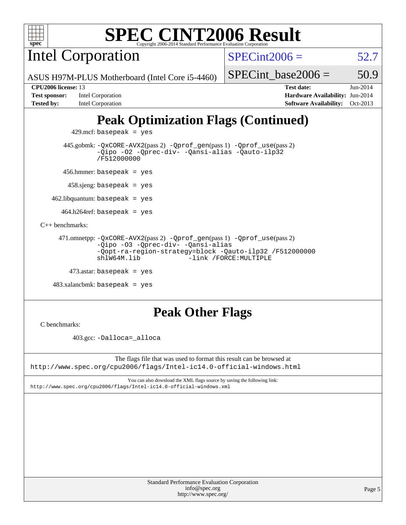

Intel Corporation

 $SPECint2006 = 52.7$  $SPECint2006 = 52.7$ 

ASUS H97M-PLUS Motherboard (Intel Core i5-4460)

**[Test sponsor:](http://www.spec.org/auto/cpu2006/Docs/result-fields.html#Testsponsor)** Intel Corporation **[Hardware Availability:](http://www.spec.org/auto/cpu2006/Docs/result-fields.html#HardwareAvailability)** Jun-2014 **[Tested by:](http://www.spec.org/auto/cpu2006/Docs/result-fields.html#Testedby)** Intel Corporation **[Software Availability:](http://www.spec.org/auto/cpu2006/Docs/result-fields.html#SoftwareAvailability)** Oct-2013

SPECint base2006 =  $50.9$ 

**[CPU2006 license:](http://www.spec.org/auto/cpu2006/Docs/result-fields.html#CPU2006license)** 13 **[Test date:](http://www.spec.org/auto/cpu2006/Docs/result-fields.html#Testdate)** Jun-2014

# **[Peak Optimization Flags \(Continued\)](http://www.spec.org/auto/cpu2006/Docs/result-fields.html#PeakOptimizationFlags)**

 $429$ .mcf: basepeak = yes

 445.gobmk: [-QxCORE-AVX2](http://www.spec.org/cpu2006/results/res2014q3/cpu2006-20140725-30610.flags.html#user_peakPASS2_CFLAGSPASS2_LDFLAGS445_gobmk_f-QxAVX2_f98716b5f9e905f99c943c56f21bf430)(pass 2) [-Qprof\\_gen](http://www.spec.org/cpu2006/results/res2014q3/cpu2006-20140725-30610.flags.html#user_peakPASS1_CFLAGSPASS1_LDFLAGS445_gobmk_Qprof_gen)(pass 1) [-Qprof\\_use](http://www.spec.org/cpu2006/results/res2014q3/cpu2006-20140725-30610.flags.html#user_peakPASS2_CFLAGSPASS2_LDFLAGS445_gobmk_Qprof_use)(pass 2) [-Qipo](http://www.spec.org/cpu2006/results/res2014q3/cpu2006-20140725-30610.flags.html#user_peakOPTIMIZE445_gobmk_f-Qipo) [-O2](http://www.spec.org/cpu2006/results/res2014q3/cpu2006-20140725-30610.flags.html#user_peakOPTIMIZE445_gobmk_f-O2) [-Qprec-div-](http://www.spec.org/cpu2006/results/res2014q3/cpu2006-20140725-30610.flags.html#user_peakOPTIMIZE445_gobmk_f-Qprec-div-) [-Qansi-alias](http://www.spec.org/cpu2006/results/res2014q3/cpu2006-20140725-30610.flags.html#user_peakOPTIMIZE445_gobmk_f-Qansi-alias) [-Qauto-ilp32](http://www.spec.org/cpu2006/results/res2014q3/cpu2006-20140725-30610.flags.html#user_peakCOPTIMIZE445_gobmk_f-Qauto-ilp32) [/F512000000](http://www.spec.org/cpu2006/results/res2014q3/cpu2006-20140725-30610.flags.html#user_peakEXTRA_LDFLAGS445_gobmk_set_stack_space_98438a10eb60aa5f35f4c79d9b9b27b1)

456.hmmer: basepeak = yes

458.sjeng: basepeak = yes

 $462$ .libquantum: basepeak = yes

 $464.h264$ ref: basepeak = yes

[C++ benchmarks:](http://www.spec.org/auto/cpu2006/Docs/result-fields.html#CXXbenchmarks)

```
 471.omnetpp: -QxCORE-AVX2(pass 2) -Qprof_gen(pass 1) -Qprof_use(pass 2)
-Qipo -O3 -Qprec-div- -Qansi-alias
-Qopt-ra-region-strategy=block -Qauto-ilp32 /F512000000
shlW64M.lib -link /FORCE:MULTIPLE
```

```
473.astar: basepeak = yes
```

```
 483.xalancbmk: basepeak = yes
```
# **[Peak Other Flags](http://www.spec.org/auto/cpu2006/Docs/result-fields.html#PeakOtherFlags)**

[C benchmarks](http://www.spec.org/auto/cpu2006/Docs/result-fields.html#Cbenchmarks):

403.gcc: [-Dalloca=\\_alloca](http://www.spec.org/cpu2006/results/res2014q3/cpu2006-20140725-30610.flags.html#b403.gcc_peakEXTRA_CFLAGS_Dalloca_be3056838c12de2578596ca5467af7f3)

The flags file that was used to format this result can be browsed at <http://www.spec.org/cpu2006/flags/Intel-ic14.0-official-windows.html>

You can also download the XML flags source by saving the following link: <http://www.spec.org/cpu2006/flags/Intel-ic14.0-official-windows.xml>